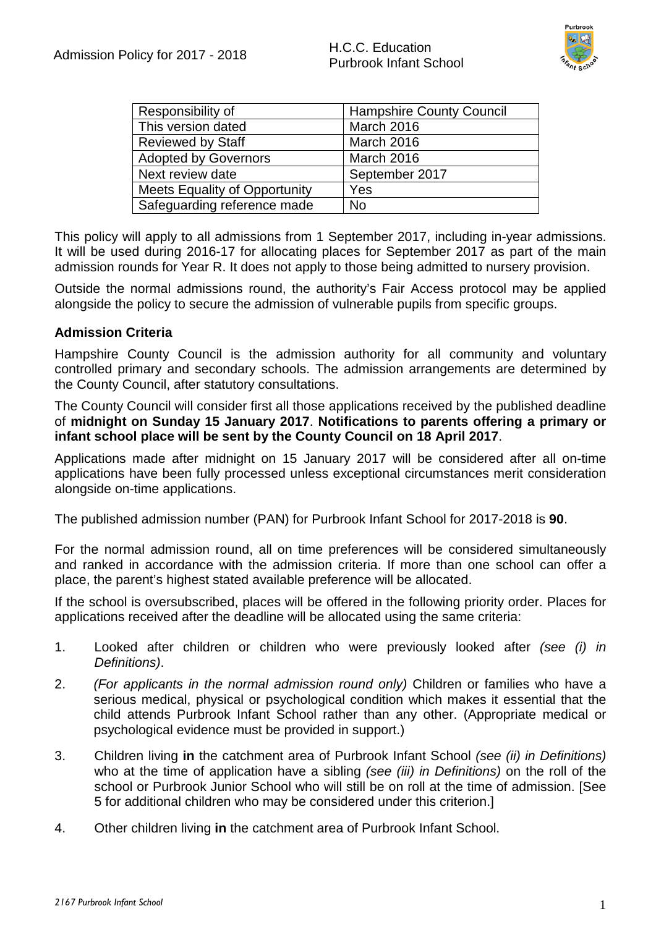

| Responsibility of                    | <b>Hampshire County Council</b> |
|--------------------------------------|---------------------------------|
| This version dated                   | March 2016                      |
| <b>Reviewed by Staff</b>             | March 2016                      |
| <b>Adopted by Governors</b>          | March 2016                      |
| Next review date                     | September 2017                  |
| <b>Meets Equality of Opportunity</b> | Yes                             |
| Safeguarding reference made          | No                              |

This policy will apply to all admissions from 1 September 2017, including in-year admissions. It will be used during 2016-17 for allocating places for September 2017 as part of the main admission rounds for Year R. It does not apply to those being admitted to nursery provision.

Outside the normal admissions round, the authority's Fair Access protocol may be applied alongside the policy to secure the admission of vulnerable pupils from specific groups.

#### **Admission Criteria**

Hampshire County Council is the admission authority for all community and voluntary controlled primary and secondary schools. The admission arrangements are determined by the County Council, after statutory consultations.

The County Council will consider first all those applications received by the published deadline of **midnight on Sunday 15 January 2017**. **Notifications to parents offering a primary or infant school place will be sent by the County Council on 18 April 2017**.

Applications made after midnight on 15 January 2017 will be considered after all on-time applications have been fully processed unless exceptional circumstances merit consideration alongside on-time applications.

The published admission number (PAN) for Purbrook Infant School for 2017-2018 is **90**.

For the normal admission round, all on time preferences will be considered simultaneously and ranked in accordance with the admission criteria. If more than one school can offer a place, the parent's highest stated available preference will be allocated.

If the school is oversubscribed, places will be offered in the following priority order. Places for applications received after the deadline will be allocated using the same criteria:

- 1. Looked after children or children who were previously looked after *(see (i) in Definitions)*.
- 2. *(For applicants in the normal admission round only)* Children or families who have a serious medical, physical or psychological condition which makes it essential that the child attends Purbrook Infant School rather than any other. (Appropriate medical or psychological evidence must be provided in support.)
- 3. Children living **in** the catchment area of Purbrook Infant School *(see (ii) in Definitions)* who at the time of application have a sibling *(see (iii) in Definitions)* on the roll of the school or Purbrook Junior School who will still be on roll at the time of admission. [See 5 for additional children who may be considered under this criterion.]
- 4. Other children living **in** the catchment area of Purbrook Infant School.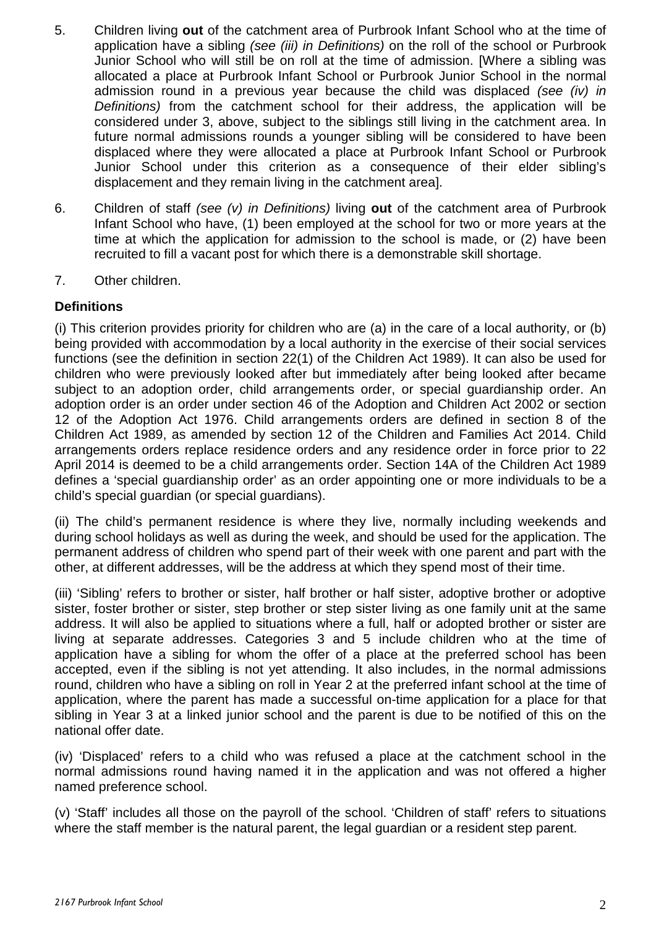- 5. Children living **out** of the catchment area of Purbrook Infant School who at the time of application have a sibling *(see (iii) in Definitions)* on the roll of the school or Purbrook Junior School who will still be on roll at the time of admission. [Where a sibling was allocated a place at Purbrook Infant School or Purbrook Junior School in the normal admission round in a previous year because the child was displaced *(see (iv) in Definitions)* from the catchment school for their address, the application will be considered under 3, above, subject to the siblings still living in the catchment area. In future normal admissions rounds a younger sibling will be considered to have been displaced where they were allocated a place at Purbrook Infant School or Purbrook Junior School under this criterion as a consequence of their elder sibling's displacement and they remain living in the catchment area].
- 6. Children of staff *(see (v) in Definitions)* living **out** of the catchment area of Purbrook Infant School who have, (1) been employed at the school for two or more years at the time at which the application for admission to the school is made, or (2) have been recruited to fill a vacant post for which there is a demonstrable skill shortage.
- 7. Other children.

#### **Definitions**

(i) This criterion provides priority for children who are (a) in the care of a local authority, or (b) being provided with accommodation by a local authority in the exercise of their social services functions (see the definition in section 22(1) of the Children Act 1989). It can also be used for children who were previously looked after but immediately after being looked after became subject to an adoption order, child arrangements order, or special guardianship order. An adoption order is an order under section 46 of the Adoption and Children Act 2002 or section 12 of the Adoption Act 1976. Child arrangements orders are defined in section 8 of the Children Act 1989, as amended by section 12 of the Children and Families Act 2014. Child arrangements orders replace residence orders and any residence order in force prior to 22 April 2014 is deemed to be a child arrangements order. Section 14A of the Children Act 1989 defines a 'special guardianship order' as an order appointing one or more individuals to be a child's special guardian (or special guardians).

(ii) The child's permanent residence is where they live, normally including weekends and during school holidays as well as during the week, and should be used for the application. The permanent address of children who spend part of their week with one parent and part with the other, at different addresses, will be the address at which they spend most of their time.

(iii) 'Sibling' refers to brother or sister, half brother or half sister, adoptive brother or adoptive sister, foster brother or sister, step brother or step sister living as one family unit at the same address. It will also be applied to situations where a full, half or adopted brother or sister are living at separate addresses. Categories 3 and 5 include children who at the time of application have a sibling for whom the offer of a place at the preferred school has been accepted, even if the sibling is not yet attending. It also includes, in the normal admissions round, children who have a sibling on roll in Year 2 at the preferred infant school at the time of application, where the parent has made a successful on-time application for a place for that sibling in Year 3 at a linked junior school and the parent is due to be notified of this on the national offer date.

(iv) 'Displaced' refers to a child who was refused a place at the catchment school in the normal admissions round having named it in the application and was not offered a higher named preference school.

(v) 'Staff' includes all those on the payroll of the school. 'Children of staff' refers to situations where the staff member is the natural parent, the legal guardian or a resident step parent.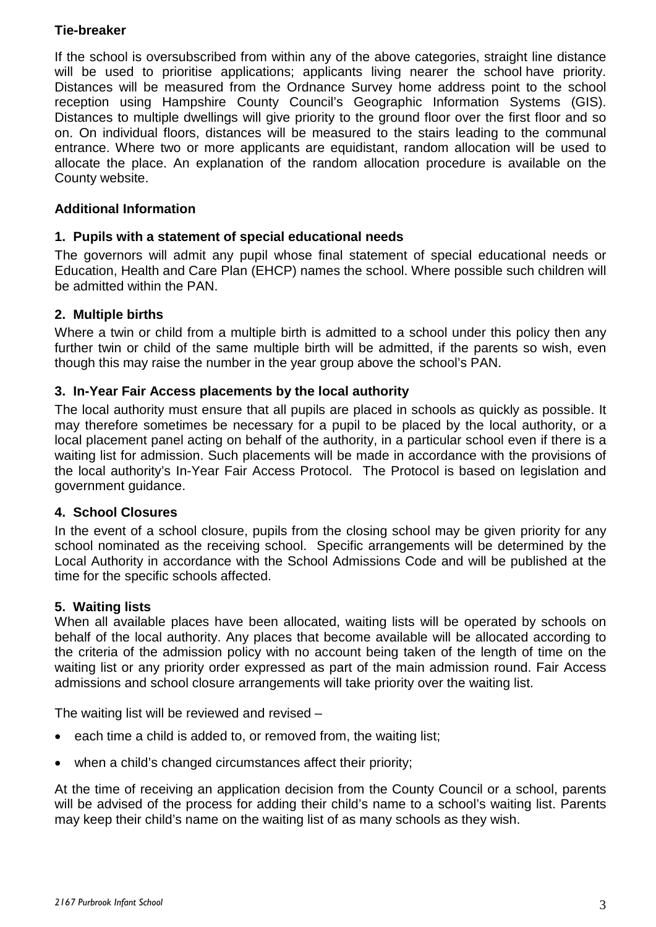## **Tie-breaker**

If the school is oversubscribed from within any of the above categories, straight line distance will be used to prioritise applications; applicants living nearer the school have priority. Distances will be measured from the Ordnance Survey home address point to the school reception using Hampshire County Council's Geographic Information Systems (GIS). Distances to multiple dwellings will give priority to the ground floor over the first floor and so on. On individual floors, distances will be measured to the stairs leading to the communal entrance. Where two or more applicants are equidistant, random allocation will be used to allocate the place. An explanation of the random allocation procedure is available on the County website.

## **Additional Information**

# **1. Pupils with a statement of special educational needs**

The governors will admit any pupil whose final statement of special educational needs or Education, Health and Care Plan (EHCP) names the school. Where possible such children will be admitted within the PAN.

# **2. Multiple births**

Where a twin or child from a multiple birth is admitted to a school under this policy then any further twin or child of the same multiple birth will be admitted, if the parents so wish, even though this may raise the number in the year group above the school's PAN.

# **3. In-Year Fair Access placements by the local authority**

The local authority must ensure that all pupils are placed in schools as quickly as possible. It may therefore sometimes be necessary for a pupil to be placed by the local authority, or a local placement panel acting on behalf of the authority, in a particular school even if there is a waiting list for admission. Such placements will be made in accordance with the provisions of the local authority's In-Year Fair Access Protocol. The Protocol is based on legislation and government guidance.

## **4. School Closures**

In the event of a school closure, pupils from the closing school may be given priority for any school nominated as the receiving school. Specific arrangements will be determined by the Local Authority in accordance with the School Admissions Code and will be published at the time for the specific schools affected.

## **5. Waiting lists**

When all available places have been allocated, waiting lists will be operated by schools on behalf of the local authority. Any places that become available will be allocated according to the criteria of the admission policy with no account being taken of the length of time on the waiting list or any priority order expressed as part of the main admission round. Fair Access admissions and school closure arrangements will take priority over the waiting list.

The waiting list will be reviewed and revised –

- each time a child is added to, or removed from, the waiting list;
- when a child's changed circumstances affect their priority;

At the time of receiving an application decision from the County Council or a school, parents will be advised of the process for adding their child's name to a school's waiting list. Parents may keep their child's name on the waiting list of as many schools as they wish.